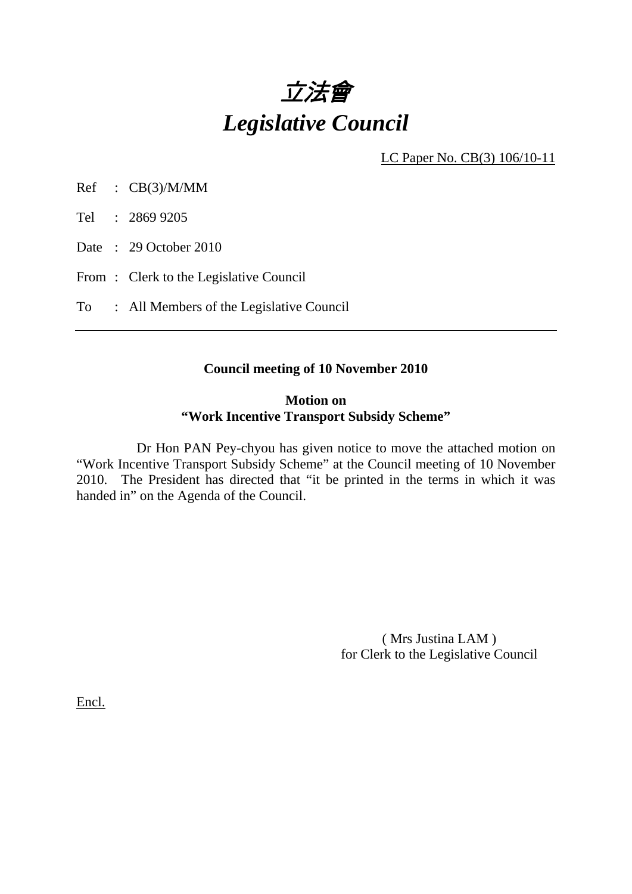

LC Paper No. CB(3) 106/10-11

Ref : CB(3)/M/MM

Tel : 2869 9205

Date: 29 October 2010

From: Clerk to the Legislative Council

To : All Members of the Legislative Council

### **Council meeting of 10 November 2010**

### **Motion on "Work Incentive Transport Subsidy Scheme"**

 Dr Hon PAN Pey-chyou has given notice to move the attached motion on "Work Incentive Transport Subsidy Scheme" at the Council meeting of 10 November 2010. The President has directed that "it be printed in the terms in which it was handed in" on the Agenda of the Council.

> ( Mrs Justina LAM ) for Clerk to the Legislative Council

Encl.